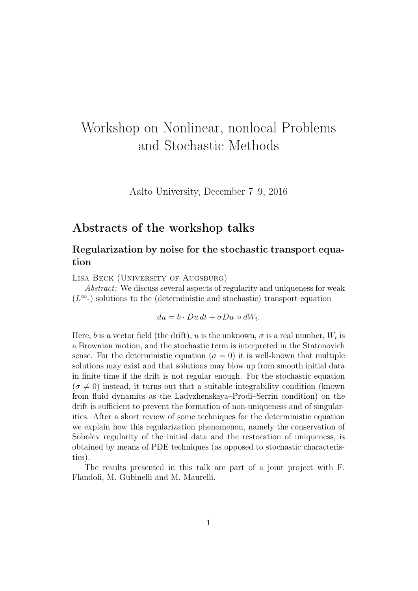# Workshop on Nonlinear, nonlocal Problems and Stochastic Methods

Aalto University, December 7–9, 2016

# Abstracts of the workshop talks

# Regularization by noise for the stochastic transport equation

Lisa Beck (University of Augsburg)

Abstract: We discuss several aspects of regularity and uniqueness for weak  $(L^{\infty})$  solutions to the (deterministic and stochastic) transport equation

 $du = b \cdot Du \, dt + \sigma Du \circ dW_t.$ 

Here, b is a vector field (the drift), u is the unknown,  $\sigma$  is a real number,  $W_t$  is a Brownian motion, and the stochastic term is interpreted in the Statonovich sense. For the deterministic equation ( $\sigma = 0$ ) it is well-known that multiple solutions may exist and that solutions may blow up from smooth initial data in finite time if the drift is not regular enough. For the stochastic equation  $(\sigma \neq 0)$  instead, it turns out that a suitable integrability condition (known from fluid dynamics as the Ladyzhenskaya–Prodi–Serrin condition) on the drift is sufficient to prevent the formation of non-uniqueness and of singularities. After a short review of some techniques for the deterministic equation we explain how this regularization phenomenon, namely the conservation of Sobolev regularity of the initial data and the restoration of uniqueness, is obtained by means of PDE techniques (as opposed to stochastic characteristics).

The results presented in this talk are part of a joint project with F. Flandoli, M. Gubinelli and M. Maurelli.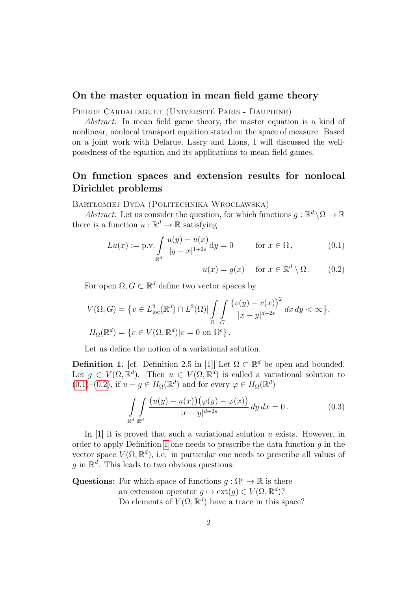### On the master equation in mean field game theory

Pierre Cardaliaguet (Université Paris - Dauphine)

Abstract: In mean field game theory, the master equation is a kind of nonlinear, nonlocal transport equation stated on the space of measure. Based on a joint work with Delarue, Lasry and Lions, I will discussed the wellposedness of the equation and its applications to mean field games.

# On function spaces and extension results for nonlocal Dirichlet problems

Bartłomiej Dyda (Politechnika Wrocławska)

Abstract: Let us consider the question, for which functions  $g : \mathbb{R}^d \setminus \Omega \to \mathbb{R}$ there is a function  $u : \mathbb{R}^d \to \mathbb{R}$  satisfying

$$
Lu(x) := \text{p.v.} \int_{\mathbb{R}^d} \frac{u(y) - u(x)}{|y - x|^{1 + 2s}} dy = 0 \quad \text{for } x \in \Omega, \tag{0.1}
$$

<span id="page-1-1"></span><span id="page-1-0"></span>
$$
u(x) = g(x) \quad \text{for } x \in \mathbb{R}^d \setminus \Omega. \qquad (0.2)
$$

For open  $\Omega, G \subset \mathbb{R}^d$  define two vector spaces by

$$
V(\Omega, G) = \{ v \in L^2_{\text{loc}}(\mathbb{R}^d) \cap L^2(\Omega) | \int_{\Omega} \int \frac{\left( v(y) - v(x) \right)^2}{|x - y|^{d + 2s}} dx dy < \infty \},
$$
  

$$
H_{\Omega}(\mathbb{R}^d) = \{ v \in V(\Omega, \mathbb{R}^d) | v = 0 \text{ on } \Omega^c \}.
$$

Let us define the notion of a variational solution.

<span id="page-1-2"></span>**Definition 1.** [cf. Definition 2.5 in [1]] Let  $\Omega \subset \mathbb{R}^d$  be open and bounded. Let  $g \in V(\Omega, \mathbb{R}^d)$ . Then  $u \in V(\Omega, \mathbb{R}^d)$  is called a variational solution to  $(0.1)$ – $(0.2)$ , if  $u - g \in H_{\Omega}(\mathbb{R}^d)$  and for every  $\varphi \in H_{\Omega}(\mathbb{R}^d)$ 

$$
\int_{\mathbb{R}^d} \int_{\mathbb{R}^d} \frac{\left(u(y) - u(x)\right)\left(\varphi(y) - \varphi(x)\right)}{|x - y|^{d + 2s}} \, dy \, dx = 0. \tag{0.3}
$$

In  $[1]$  it is proved that such a variational solution u exists. However, in order to apply Definition [1](#page-1-2) one needs to prescribe the data function  $q$  in the vector space  $V(\Omega, \mathbb{R}^d)$ , i.e. in particular one needs to prescribe all values of g in  $\mathbb{R}^d$ . This leads to two obvious questions:

Questions: For which space of functions  $g : \Omega^c \to \mathbb{R}$  is there an extension operator  $g \mapsto \text{ext}(g) \in V(\Omega, \mathbb{R}^d)$ ? Do elements of  $V(\Omega, \mathbb{R}^d)$  have a trace in this space?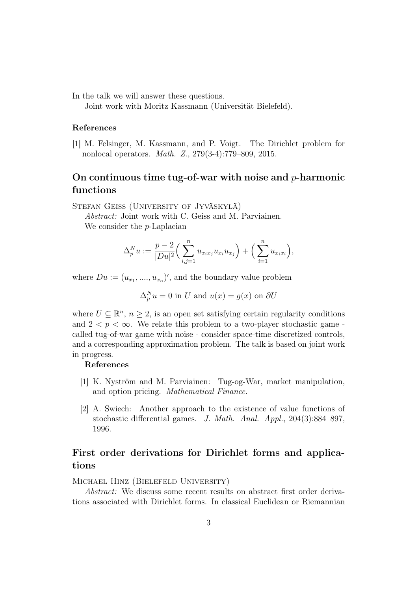In the talk we will answer these questions.

Joint work with Moritz Kassmann (Universität Bielefeld).

#### References

[1] M. Felsinger, M. Kassmann, and P. Voigt. The Dirichlet problem for nonlocal operators. Math. Z., 279(3-4):779–809, 2015.

# On continuous time tug-of-war with noise and  $p$ -harmonic functions

Stefan Geiss (University of Jyväskylä)

Abstract: Joint work with C. Geiss and M. Parviainen. We consider the *p*-Laplacian

$$
\Delta_p^N u := \frac{p-2}{|Du|^2} \Big( \sum_{i,j=1}^n u_{x_i x_j} u_{x_i} u_{x_j} \Big) + \Big( \sum_{i=1}^n u_{x_i x_i} \Big),
$$

where  $Du := (u_{x_1},...,u_{x_n})'$ , and the boundary value problem

$$
\Delta_p^N u = 0
$$
 in U and  $u(x) = g(x)$  on  $\partial U$ 

where  $U \subseteq \mathbb{R}^n$ ,  $n \geq 2$ , is an open set satisfying certain regularity conditions and  $2 < p < \infty$ . We relate this problem to a two-player stochastic game called tug-of-war game with noise - consider space-time discretized controls, and a corresponding approximation problem. The talk is based on joint work in progress.

#### References

- [1] K. Nyström and M. Parviainen: Tug-og-War, market manipulation, and option pricing. Mathematical Finance.
- [2] A. Swiech: Another approach to the existence of value functions of stochastic differential games. J. Math. Anal. Appl., 204(3):884–897, 1996.

# First order derivations for Dirichlet forms and applications

Michael Hinz (Bielefeld University)

Abstract: We discuss some recent results on abstract first order derivations associated with Dirichlet forms. In classical Euclidean or Riemannian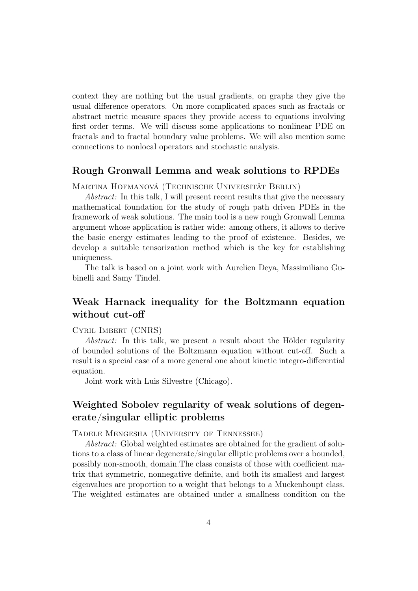context they are nothing but the usual gradients, on graphs they give the usual difference operators. On more complicated spaces such as fractals or abstract metric measure spaces they provide access to equations involving first order terms. We will discuss some applications to nonlinear PDE on fractals and to fractal boundary value problems. We will also mention some connections to nonlocal operators and stochastic analysis.

### Rough Gronwall Lemma and weak solutions to RPDEs

Martina Hofmanová (Technische Universität Berlin)

Abstract: In this talk, I will present recent results that give the necessary mathematical foundation for the study of rough path driven PDEs in the framework of weak solutions. The main tool is a new rough Gronwall Lemma argument whose application is rather wide: among others, it allows to derive the basic energy estimates leading to the proof of existence. Besides, we develop a suitable tensorization method which is the key for establishing uniqueness.

The talk is based on a joint work with Aurelien Deya, Massimiliano Gubinelli and Samy Tindel.

### Weak Harnack inequality for the Boltzmann equation without cut-off

Cyril Imbert (CNRS)

Abstract: In this talk, we present a result about the Hölder regularity of bounded solutions of the Boltzmann equation without cut-off. Such a result is a special case of a more general one about kinetic integro-differential equation.

Joint work with Luis Silvestre (Chicago).

## Weighted Sobolev regularity of weak solutions of degenerate/singular elliptic problems

Tadele Mengesha (University of Tennessee)

Abstract: Global weighted estimates are obtained for the gradient of solutions to a class of linear degenerate/singular elliptic problems over a bounded, possibly non-smooth, domain.The class consists of those with coefficient matrix that symmetric, nonnegative definite, and both its smallest and largest eigenvalues are proportion to a weight that belongs to a Muckenhoupt class. The weighted estimates are obtained under a smallness condition on the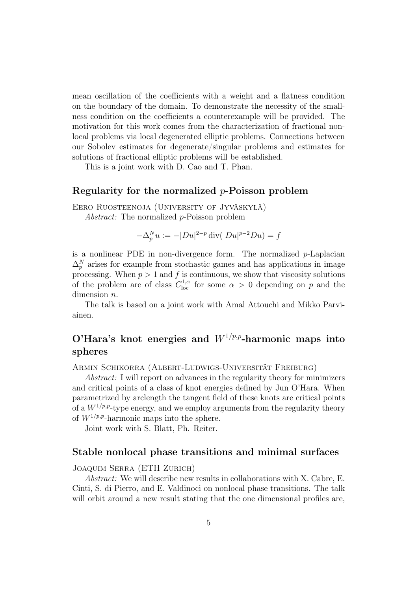mean oscillation of the coefficients with a weight and a flatness condition on the boundary of the domain. To demonstrate the necessity of the smallness condition on the coefficients a counterexample will be provided. The motivation for this work comes from the characterization of fractional nonlocal problems via local degenerated elliptic problems. Connections between our Sobolev estimates for degenerate/singular problems and estimates for solutions of fractional elliptic problems will be established.

This is a joint work with D. Cao and T. Phan.

### Regularity for the normalized  $p$ -Poisson problem

Eero Ruosteenoja (University of Jyväskylä)

Abstract: The normalized p-Poisson problem

$$
-\Delta_p^N u := -|Du|^{2-p} \operatorname{div}(|Du|^{p-2}Du) = f
$$

is a nonlinear PDE in non-divergence form. The normalized  $p$ -Laplacian  $\Delta_p^N$  arises for example from stochastic games and has applications in image processing. When  $p > 1$  and f is continuous, we show that viscosity solutions of the problem are of class  $C^{1,\alpha}_{loc}$  for some  $\alpha > 0$  depending on p and the dimension *n*.

The talk is based on a joint work with Amal Attouchi and Mikko Parviainen.

# O'Hara's knot energies and  $W^{1/p,p}$ -harmonic maps into spheres

Armin Schikorra (Albert-Ludwigs-Universität Freiburg)

Abstract: I will report on advances in the regularity theory for minimizers and critical points of a class of knot energies defined by Jun O'Hara. When parametrized by arclength the tangent field of these knots are critical points of a  $W^{1/p,p}$ -type energy, and we employ arguments from the regularity theory of  $W^{1/p,p}$ -harmonic maps into the sphere.

Joint work with S. Blatt, Ph. Reiter.

#### Stable nonlocal phase transitions and minimal surfaces

#### Joaquim Serra (ETH Zurich)

Abstract: We will describe new results in collaborations with X. Cabre, E. Cinti, S. di Pierro, and E. Valdinoci on nonlocal phase transitions. The talk will orbit around a new result stating that the one dimensional profiles are,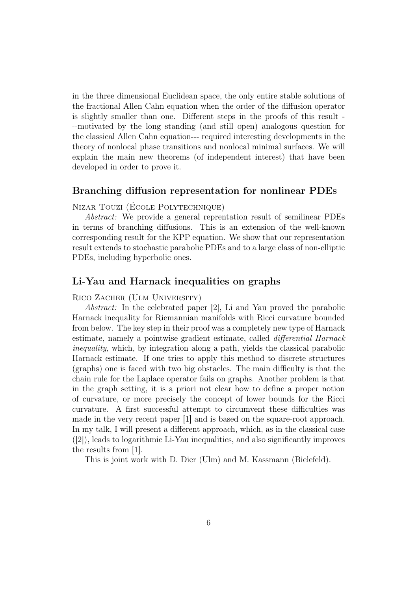in the three dimensional Euclidean space, the only entire stable solutions of the fractional Allen Cahn equation when the order of the diffusion operator is slightly smaller than one. Different steps in the proofs of this result - --motivated by the long standing (and still open) analogous question for the classical Allen Cahn equation--- required interesting developments in the theory of nonlocal phase transitions and nonlocal minimal surfaces. We will explain the main new theorems (of independent interest) that have been developed in order to prove it.

#### Branching diffusion representation for nonlinear PDEs

Nizar Touzi (École Polytechnique)

Abstract: We provide a general reprentation result of semilinear PDEs in terms of branching diffusions. This is an extension of the well-known corresponding result for the KPP equation. We show that our representation result extends to stochastic parabolic PDEs and to a large class of non-elliptic PDEs, including hyperbolic ones.

#### Li-Yau and Harnack inequalities on graphs

Rico Zacher (Ulm University)

Abstract: In the celebrated paper [2], Li and Yau proved the parabolic Harnack inequality for Riemannian manifolds with Ricci curvature bounded from below. The key step in their proof was a completely new type of Harnack estimate, namely a pointwise gradient estimate, called differential Harnack inequality, which, by integration along a path, yields the classical parabolic Harnack estimate. If one tries to apply this method to discrete structures (graphs) one is faced with two big obstacles. The main difficulty is that the chain rule for the Laplace operator fails on graphs. Another problem is that in the graph setting, it is a priori not clear how to define a proper notion of curvature, or more precisely the concept of lower bounds for the Ricci curvature. A first successful attempt to circumvent these difficulties was made in the very recent paper [1] and is based on the square-root approach. In my talk, I will present a different approach, which, as in the classical case ([2]), leads to logarithmic Li-Yau inequalities, and also significantly improves the results from [1].

This is joint work with D. Dier (Ulm) and M. Kassmann (Bielefeld).